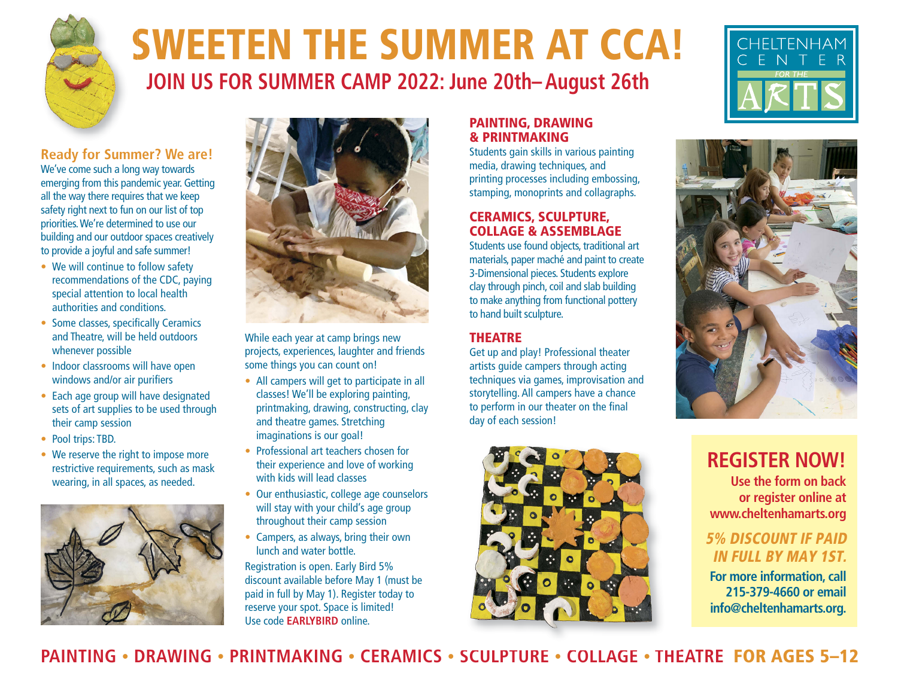

# **SWEETEN THE SUMMER AT CCA! JOIN US FOR SUMMER CAMP 2022: June 20th– August 26th**

**Ready for Summer? We are!** We've come such a long way towards emerging from this pandemic year. Getting all the way there requires that we keep safety right next to fun on our list of top priorities. We're determined to use our building and our outdoor spaces creatively to provide a joyful and safe summer!

- We will continue to follow safety recommendations of the CDC, paying special attention to local health authorities and conditions.
- Some classes, specifically Ceramics and Theatre, will be held outdoors whenever possible
- Indoor classrooms will have open windows and/or air purifiers
- Each age group will have designated sets of art supplies to be used through their camp session
- Pool trips: TBD.
- We reserve the right to impose more restrictive requirements, such as mask wearing, in all spaces, as needed.





While each year at camp brings new projects, experiences, laughter and friends some things you can count on!

- All campers will get to participate in all classes! We'll be exploring painting, printmaking, drawing, constructing, clay and theatre games. Stretching imaginations is our goal!
- Professional art teachers chosen for their experience and love of working with kids will lead classes
- Our enthusiastic, college age counselors will stay with your child's age group throughout their camp session
- Campers, as always, bring their own lunch and water bottle.

Registration is open. Early Bird 5% discount available before May 1 (must be paid in full by May 1). Register today to reserve your spot. Space is limited! Use code **EARLYBIRD** online.

#### **PAINTING, DRAWING & PRINTMAKING**

Students gain skills in various painting media, drawing techniques, and printing processes including embossing, stamping, monoprints and collagraphs.

### **CERAMICS, SCULPTURE, COLLAGE & ASSEMBLAGE**

Students use found objects, traditional art materials, paper maché and paint to create 3-Dimensional pieces. Students explore clay through pinch, coil and slab building to make anything from functional pottery to hand built sculpture.

### **THEATRE**

Get up and play! Professional theater artists guide campers through acting techniques via games, improvisation and storytelling. All campers have a chance to perform in our theater on the final day of each session!







### **REGISTER NOW!**

**Use the form on back or register online at www.cheltenhamarts.org** 

### **5% DISCOUNT IF PAID IN FULL BY MAY 1ST.**

**For more information, call 215-379-4660 or email info@cheltenhamarts.org.**